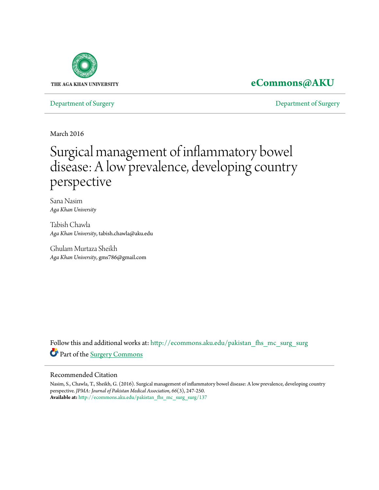

# **[eCommons@AKU](http://ecommons.aku.edu?utm_source=ecommons.aku.edu%2Fpakistan_fhs_mc_surg_surg%2F137&utm_medium=PDF&utm_campaign=PDFCoverPages)**

[Department of Surgery](http://ecommons.aku.edu/pakistan_fhs_mc_surg_surg?utm_source=ecommons.aku.edu%2Fpakistan_fhs_mc_surg_surg%2F137&utm_medium=PDF&utm_campaign=PDFCoverPages) [Department of Surgery](http://ecommons.aku.edu/pakistan_fhs_mc_surg?utm_source=ecommons.aku.edu%2Fpakistan_fhs_mc_surg_surg%2F137&utm_medium=PDF&utm_campaign=PDFCoverPages)

March 2016

# Surgical management of inflammatory bowel disease: A low prevalence, developing country perspective

Sana Nasim *Aga Khan University*

Tabish Chawla *Aga Khan University*, tabish.chawla@aku.edu

Ghulam Murtaza Sheikh *Aga Khan University*, gms786@gmail.com

Follow this and additional works at: [http://ecommons.aku.edu/pakistan\\_fhs\\_mc\\_surg\\_surg](http://ecommons.aku.edu/pakistan_fhs_mc_surg_surg?utm_source=ecommons.aku.edu%2Fpakistan_fhs_mc_surg_surg%2F137&utm_medium=PDF&utm_campaign=PDFCoverPages) Part of the [Surgery Commons](http://network.bepress.com/hgg/discipline/706?utm_source=ecommons.aku.edu%2Fpakistan_fhs_mc_surg_surg%2F137&utm_medium=PDF&utm_campaign=PDFCoverPages)

#### Recommended Citation

Nasim, S., Chawla, T., Sheikh, G. (2016). Surgical management of inflammatory bowel disease: A low prevalence, developing country perspective. *JPMA: Journal of Pakistan Medical Association, 66*(3), 247-250. **Available at:** [http://ecommons.aku.edu/pakistan\\_fhs\\_mc\\_surg\\_surg/137](http://ecommons.aku.edu/pakistan_fhs_mc_surg_surg/137)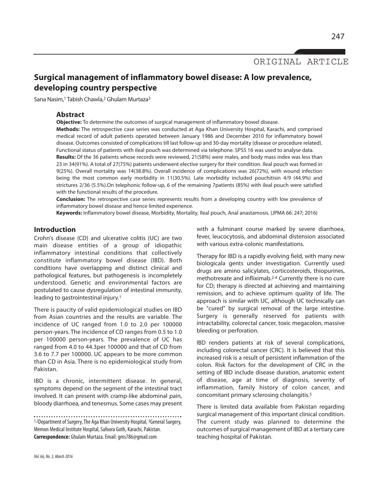ORIGINAL ARTICLE

## **Surgical management of inflammatory bowel disease: A low prevalence, developing country perspective**

Sana Nasim,<sup>1</sup> Tabish Chawla,<sup>2</sup> Ghulam Murtaza<sup>3</sup>

#### **Abstract**

**Objective:** To determine the outcomes of surgical management of inflammatory bowel disease.

**Methods:** The retrospective case series was conducted at Aga Khan University Hospital, Karachi, and comprised medical record of adult patients operated between January 1986 and December 2010 for inflammatory bowel disease. Outcomes consisted of complications till last follow-up and 30-day mortality (disease or procedure related). Functional status of patients with ileal pouch was determined via telephone. SPSS 16 was used to analyse data. **Results:** Of the 36 patients whose records were reviewed, 21(58%) were males, and body mass index was less than 23 in 34(91%). A total of 27(75%) patients underwent elective surgery for their condition. Ileal pouch was formed in

9(25%). Overall mortality was 14(38.8%). Overall incidence of complications was 26(72%), with wound infection being the most common early morbidity in 11(30.5%). Late morbidity included pouchitisin 4/9 (44.9%) and strictures 2/36 (5.5%).On telephonic follow-up, 6 of the remaining 7patients (85%) with ileal pouch were satisfied with the functional results of the procedure.

**Conclusion:** The retrospective case series represents results from a developing country with low prevalence of inflammatory bowel disease and hence limited experience.

**Keywords:** Inflammatory bowel disease, Morbidity, Mortality, Ileal pouch, Anal anastamosis. (JPMA 66: 247; 2016)

### **Introduction**

Crohn's disease (CD) and ulcerative colitis (UC) are two main disease entities of a group of idiopathic inflammatory intestinal conditions that collectively constitute inflammatory bowel disease (IBD). Both conditions have overlapping and distinct clinical and pathological features, but pathogenesis is incompletely understood. Genetic and environmental factors are postulated to cause dysregulation of intestinal immunity, leading to gastrointestinal injury. 1

There is paucity of valid epidemiological studies on IBD from Asian countries and the results are variable. The incidence of UC ranged from 1.0 to 2.0 per 100000 person-years. The incidence of CD ranges from 0.5 to 1.0 per 100000 person-years. The prevalence of UC has ranged from 4.0 to 44.3per 100000 and that of CD from 3.6 to 7.7 per 100000. UC appears to be more common than CD in Asia. There is no epidemiological study from Pakistan.

IBD is a chronic, intermittent disease. In general, symptoms depend on the segment of the intestinal tract involved. It can present with cramp-like abdominal pain, bloody diarrhoea, and tenesmus. Some cases may present

1,2Department of Surgery, The Aga Khan University Hospital, <sup>3</sup>General Surgery, Memon Medical Institute Hospital, Safoora Goth, Karachi, Pakistan. **Correspondence:** Ghulam Murtaza.Email:gms786@gmail.com

with a fulminant course marked by severe diarrhoea, fever, leucocytosis, and abdominal distension associated with various extra-colonic manifestations.

Therapy for IBD is a rapidly evolving field, with many new biologicala gents under investigation. Currently used drugs are amino salicylates, corticosteroids, thiopurines, methotrexate and infliximab. 2-4 Currently there is no cure for CD; therapy is directed at achieving and maintaining remission, and to achieve optimum quality of life. The approach is similar with UC, although UC technically can be "cured" by surgical removal of the large intestine. Surgery is generally reserved for patients with intractability, colorectal cancer, toxic megacolon, massive bleeding or perforation.

IBD renders patients at risk of several complications, including colorectal cancer (CRC). It is believed that this increased risk is a result of persistent inflammation of the colon. Risk factors for the development of CRC in the setting of IBD include disease duration, anatomic extent of disease, age at time of diagnosis, severity of inflammation, family history of colon cancer, and concomitant primary sclerosing cholangitis. 5

There is limited data available from Pakistan regarding surgical management of this important clinical condition. The current study was planned to determine the outcomes of surgical management of IBD at a tertiary care teaching hospital of Pakistan.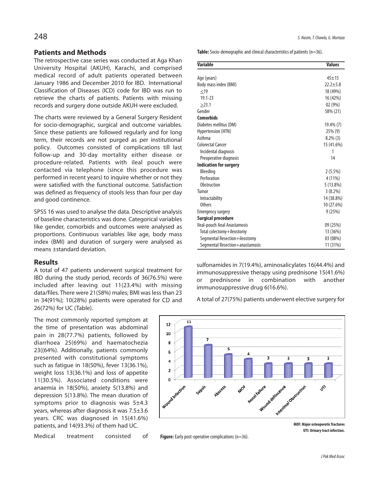#### **Patients and Methods**

The retrospective case series was conducted at Aga Khan University Hospital (AKUH), Karachi, and comprised medical record of adult patients operated between January 1986 and December 2010 for IBD. International Classification of Diseases (ICD) code for IBD was run to retrieve the charts of patients. Patients with missing records and surgery done outside AKUH were excluded.

The charts were reviewed by a General Surgery Resident for socio-demographic, surgical and outcome variables. Since these patients are followed regularly and for long term, their records are not purged as per institutional policy. Outcomes consisted of complications till last follow-up and 30-day mortality either disease or procedure-related. Patients with ileal pouch were contacted via telephone (since this procedure was performed in recent years) to inquire whether or not they were satisfied with the functional outcome. Satisfaction was defined as frequency of stools less than four per day and good continence.

SPSS 16 was used to analyse the data. Descriptive analysis of baseline characteristics was done. Categorical variables like gender, comorbids and outcomes were analysed as proportions. Continuous variables like age, body mass index (BMI) and duration of surgery were analysed as means ±standard deviation.

#### **Results**

A total of 47 patients underwent surgical treatment for IBD during the study period, records of 36(76.5%) were included after leaving out 11(23.4%) with missing data/files. There were 21(58%) males; BMI waslessthan 23 in 34(91%); 10(28%) patients were operated for CD and 26(72%) for UC (Table).

The most commonly reported symptom at the time of presentation was abdominal pain in 28(77.7%) patients, followed by diarrhoea 25(69%) and haematochezia 23((64%). Additionally, patients commonly presented with constitutional symptoms such as fatigue in 18(50%), fever 13(36.1%), weight loss 13(36.1%) and loss of appetite 11(30.5%). Associated conditions were anaemia in 18(50%), anxiety 5(13.8%) and depression 5(13.8%). The mean duration of symptoms prior to diagnosis was 5±4.3 years, whereas after diagnosis it was 7.5±3.6 years. CRC was diagnosed in 15(41.6%) patients, and 14(93.3%) of them had UC.

Medical treatment consisted of

**Table:** Socio-demographic and clinical characteristics of patients (n=36).

| <b>Variable</b>                 | <b>Values</b> |
|---------------------------------|---------------|
|                                 |               |
| Age (years)                     | $45 + 15$     |
| Body mass index (BMI)           | $22.2 + 5.8$  |
| $<$ 19                          | 18 (49%)      |
| $19.1 - 23$                     | 16 (42%)      |
| >23.1                           | 02 (9%)       |
| Gender                          | 58% (21)      |
| <b>Comorbids</b>                |               |
| Diabetes mellitus (DM)          | 19.4% (7)     |
| Hypertension (HTN)              | 25% (9)       |
| Asthma                          | $8.2\%$ (3)   |
| <b>Colorectal Cancer</b>        | 15 (41.6%)    |
| Incidental diagnosis            | 1             |
| Preoperative diagnosis          | 14            |
| <b>Indication for surgery</b>   |               |
| Bleeding                        | $2(5.5\%)$    |
| Perforation                     | 4 (11%)       |
| <b>Obstruction</b>              | 5(13.8%)      |
| Tumor                           | 3(8.2%)       |
| Intractability                  | 14 (38.8%)    |
| Others                          | 10 (27.6%)    |
| <b>Emergency surgery</b>        | 9(25%)        |
| <b>Surgical procedure</b>       |               |
| Ileal-pouch Anal Anastamosis    | 09 (25%)      |
| Total colectomy+ileostomy       | 13 (36%)      |
| Segmental Resection+ileostomy   | 03 (08%)      |
| Segmental Resection+anastamosis | 11 (31%)      |

sulfonamides in 7(19.4%), aminosalicylates 16(44.4%) and immunosuppressive therapy using prednisone 15(41.6%) or prednisone in combination with another immunosuppressive drug 6(16.6%).

A total of 27(75%) patients underwent elective surgery for



**MOF: Major osteoporotic fractures UTI: Urinarytract infection.**

**Figure:** Early post-operative complications (n=36).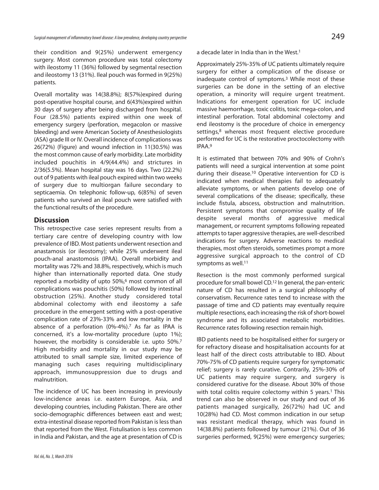their condition and 9(25%) underwent emergency surgery. Most common procedure was total colectomy with ileostomy 11 (36%) followed by segmental resection and ileostomy 13 (31%). Ileal pouch was formed in 9(25%) patients.

Overall mortality was 14(38.8%); 8(57%)expired during post-operative hospital course, and 6(43%)expired within 30 days of surgery after being discharged from hospital. Four (28.5%) patients expired within one week of emergency surgery (perforation, megacolon or massive bleeding) and were American Society of Anesthesiologists (ASA) grade III or IV. Overall incidence of complications was 26(72%) (Figure) and wound infection in 11(30.5%) was the most common cause of early morbidity. Late morbidity included pouchitis in 4/9(44.4%) and strictures in 2/36(5.5%). Mean hospital stay was 16 days. Two (22.2%) out of 9 patients with ileal pouch expired within two weeks of surgery due to multiorgan failure secondary to septicaemia. On telephonic follow-up, 6(85%) of seven patients who survived an ileal pouch were satisfied with the functional results of the procedure.

#### **Discussion**

This retrospective case series represent results from a tertiary care centre of developing country with low prevalence of IBD. Most patients underwent resection and anastamosis (or ileostomy); while 25% underwent ileal pouch-anal anastomosis (IPAA). Overall morbidity and mortality was 72% and 38.8%, respectively, which is much higher than internationally reported data. One study reported a morbidity of upto 50%, <sup>6</sup> most common of all complications was pouchitis (50%) followed by intestinal obstruction (25%). Another study considered total abdominal colectomy with end ileostomy a safe procedure in the emergent setting with a post-operative complication rate of 23%-33% and low mortality in the absence of a perforation (0%-4%). <sup>7</sup> As far as IPAA is concerned, it's a low-mortality procedure (upto 1%); however, the morbidity is considerable i.e. upto 50%.<sup>7</sup> High morbidity and mortality in our study may be attributed to small sample size, limited experience of managing such cases requiring multidisciplinary approach, immunosuppression due to drugs and malnutrition.

The incidence of UC has been increasing in previously low-incidence areas i.e. eastern Europe, Asia, and developing countries, including Pakistan. There are other socio-demographic differences between east and west; extra-intestinal disease reported from Pakistan is less than that reported from the West. Fistulisation is less common in India and Pakistan, and the age at presentation of CD is a decade later in India than in the West. 1

Approximately 25%-35% of UC patients ultimately require surgery for either a complication of the disease or inadequate control of symptoms. <sup>3</sup> While most of these surgeries can be done in the setting of an elective operation, a minority will require urgent treatment. Indications for emergent operation for UC include massive haemorrhage, toxic colitis, toxic mega-colon, and intestinal perforation. Total abdominal colectomy and end ileostomy is the procedure of choice in emergency settings, <sup>8</sup> whereas most frequent elective procedure performed for UC is the restorative proctocolectomy with IPAA. 9

It is estimated that between 70% and 90% of Crohn's patients will need a surgical intervention at some point during their disease.<sup>10</sup> Operative intervention for CD is indicated when medical therapies fail to adequately alleviate symptoms, or when patients develop one of several complications of the disease; specifically, these include fistula, abscess, obstruction and malnutrition. Persistent symptoms that compromise quality of life despite several months of aggressive medical management, or recurrent symptoms following repeated attempts to taper aggressive therapies, are well-described indications for surgery. Adverse reactions to medical therapies, most often steroids, sometimes prompt a more aggressive surgical approach to the control of CD symptoms as well.<sup>11</sup>

Resection is the most commonly performed surgical procedure for small bowel CD.<sup>12</sup> In general, the pan-enteric nature of CD has resulted in a surgical philosophy of conservatism. Recurrence rates tend to increase with the passage of time and CD patients may eventually require multiple resections, each increasing the risk of short-bowel syndrome and its associated metabolic morbidities. Recurrence rates following resection remain high.

IBD patients need to be hospitalised either for surgery or for refractory disease and hospitalisation accounts for at least half of the direct costs attributable to IBD. About 70%-75% of CD patients require surgery for symptomatic relief; surgery is rarely curative. Contrarily, 25%-30% of UC patients may require surgery, and surgery is considered curative for the disease. About 30% of those with total colitis require colectomy within 5 years. <sup>1</sup> This trend can also be observed in our study and out of 36 patients managed surgically, 26(72%) had UC and 10(28%) had CD. Most common indication in our setup was resistant medical therapy, which was found in 14(38.8%) patients followed by tumour (21%). Out of 36 surgeries performed, 9(25%) were emergency surgeries;